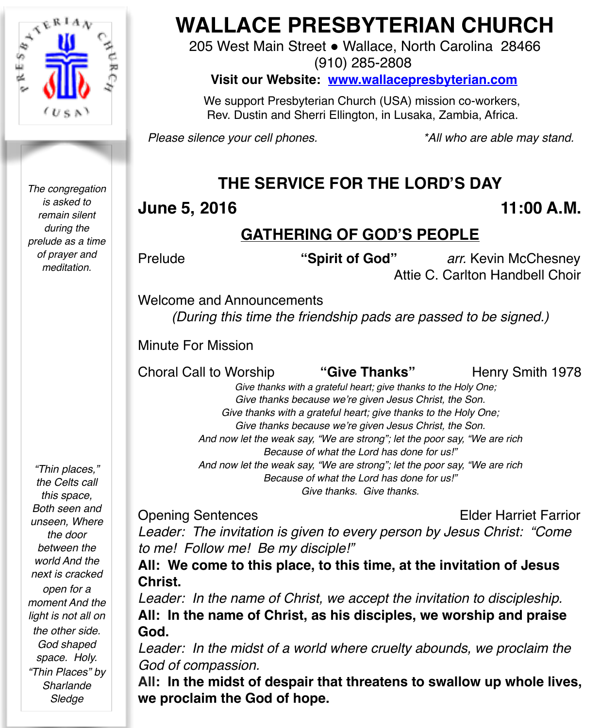

*The congregation is asked to remain silent during the prelude as a time of prayer and meditation.*

# **WALLACE PRESBYTERIAN CHURCH**

205 West Main Street . Wallace, North Carolina 28466

(910) 285-2808

#### **Visit our Website: [www.wallacepresbyterian.com](http://www.wallacepresbyterian.com)**

 We support Presbyterian Church (USA) mission co-workers, Rev. Dustin and Sherri Ellington, in Lusaka, Zambia, Africa.

*Please silence your cell phones. \*All who are able may stand.*

# **THE SERVICE FOR THE LORD'S DAY**

# **June 5, 2016** 11:00 A.M.

# **GATHERING OF GOD'S PEOPLE**

Prelude *"Spirit of God" arr.* Kevin McChesney Attie C. Carlton Handbell Choir

Welcome and Announcements *(During this time the friendship pads are passed to be signed.)*

Minute For Mission **! !** 

Choral Call to Worship **"Give Thanks"** Henry Smith 1978

 *Give thanks with a grateful heart; give thanks to the Holy One; Give thanks because we're given Jesus Christ, the Son. Give thanks with a grateful heart; give thanks to the Holy One; Give thanks because we're given Jesus Christ, the Son. And now let the weak say, "We are strong"; let the poor say, "We are rich Because of what the Lord has done for us!" And now let the weak say, "We are strong"; let the poor say, "We are rich Because of what the Lord has done for us!" Give thanks. Give thanks.*

Opening Sentences Elder Harriet Farrior

*Leader: The invitation is given to every person by Jesus Christ: "Come to me! Follow me! Be my disciple!"*

**All: We come to this place, to this time, at the invitation of Jesus Christ.**

*Leader: In the name of Christ, we accept the invitation to discipleship.* **All: In the name of Christ, as his disciples, we worship and praise God.**

Leader: In the midst of a world where cruelty abounds, we proclaim the *God of compassion.*

**All: In the midst of despair that threatens to swallow up whole lives, we proclaim the God of hope.**

*"Thin places," the Celts call this space, Both seen and unseen, Where the door between the world And the next is cracked open for a moment And the light is not all on the other side. God shaped space. Holy. "Thin Places" by Sharlande Sledge*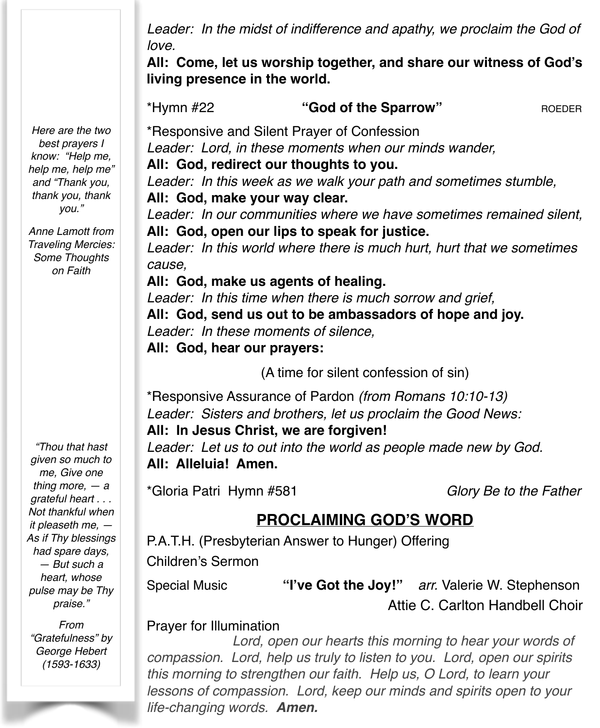*Leader: In the midst of indifference and apathy, we proclaim the God of love.*

**All: Come, let us worship together, and share our witness of God's living presence in the world.**

\*Hymn #22 **"God of the Sparrow"** ROEDER

\*Responsive and Silent Prayer of Confession ! ! *Leader: Lord, in these moments when our minds wander,* **All: God, redirect our thoughts to you.**

*Leader: In this week as we walk your path and sometimes stumble,* **All: God, make your way clear.**

*Leader: In our communities where we have sometimes remained silent,* **All: God, open our lips to speak for justice.**

*Leader: In this world where there is much hurt, hurt that we sometimes cause,*

### **All: God, make us agents of healing.**

*Leader: In this time when there is much sorrow and grief,* **All: God, send us out to be ambassadors of hope and joy.** *Leader: In these moments of silence,* **All: God, hear our prayers:**

(A time for silent confession of sin)

\*Responsive Assurance of Pardon *(from Romans 10:10-13) Leader: Sisters and brothers, let us proclaim the Good News:*

#### **All: In Jesus Christ, we are forgiven!**

*Leader: Let us to out into the world as people made new by God.* **All: Alleluia! Amen.**

\*Gloria Patri Hymn #581 *Glory Be to the Father*

# **PROCLAIMING GOD'S WORD**

P.A.T.H. (Presbyterian Answer to Hunger) Offering Children's Sermon

Special Music **"I've Got the Joy!"** *arr.* Valerie W. Stephenson ! ! ! ! ! Attie C. Carlton Handbell Choir

### Prayer for Illumination

*Lord, open our hearts this morning to hear your words of compassion. Lord, help us truly to listen to you. Lord, open our spirits this morning to strengthen our faith. Help us, O Lord, to learn your lessons of compassion. Lord, keep our minds and spirits open to your life-changing words. Amen.*

*Here are the two best prayers I know: "Help me, help me, help me" and "Thank you, thank you, thank you."*

*Anne Lamott from Traveling Mercies: Some Thoughts on Faith*

*"Thou that hast given so much to me, Give one thing more, — a grateful heart . . . Not thankful when it pleaseth me, — As if Thy blessings had spare days, — But such a heart, whose pulse may be Thy praise."*

*From "Gratefulness" by George Hebert (1593-1633)*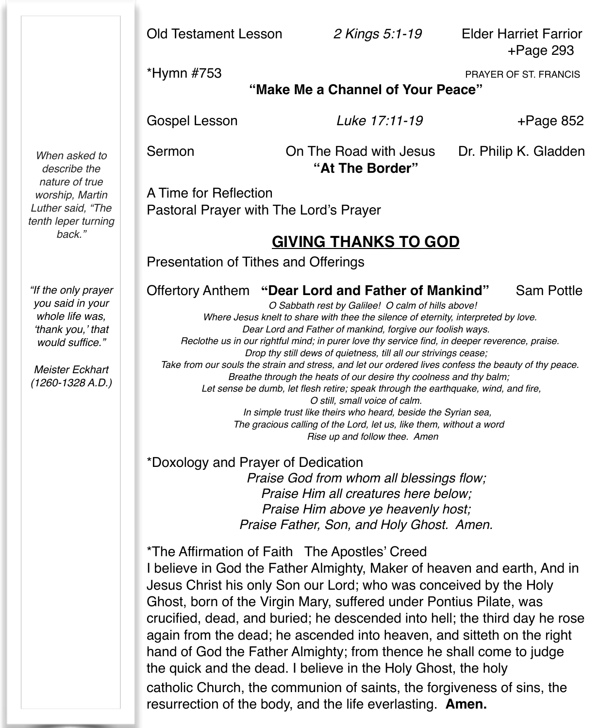Old Testament Lesson *2 Kings 5:1-19* Elder Harriet Farrior

+Page 293

\*Hymn #753 PRAYER OF ST. FRANCIS

### **"Make Me a Channel of Your Peace"**

Gospel Lesson *Luke 17:11-19* +Page 852

Sermon **On The Road with Jesus** Dr. Philip K. Gladden **"At The Border"** 

A Time for Reflection Pastoral Prayer with The Lord's Prayer

# **GIVING THANKS TO GOD**

Presentation of Tithes and Offerings

# Offertory Anthem **"Dear Lord and Father of Mankind"** Sam Pottle *O Sabbath rest by Galilee! O calm of hills above!*

 *Where Jesus knelt to share with thee the silence of eternity, interpreted by love. Dear Lord and Father of mankind, forgive our foolish ways. Reclothe us in our rightful mind; in purer love thy service find, in deeper reverence, praise. Drop thy still dews of quietness, till all our strivings cease; Take from our souls the strain and stress, and let our ordered lives confess the beauty of thy peace. Breathe through the heats of our desire thy coolness and thy balm; Let sense be dumb, let flesh retire; speak through the earthquake, wind, and fire, O still, small voice of calm. In simple trust like theirs who heard, beside the Syrian sea, The gracious calling of the Lord, let us, like them, without a word Rise up and follow thee. Amen*

\*Doxology and Prayer of Dedication *Praise God from whom all blessings flow; Praise Him all creatures here below; Praise Him above ye heavenly host; Praise Father, Son, and Holy Ghost. Amen.*

\*The Affirmation of Faith The Apostles' Creed

I believe in God the Father Almighty, Maker of heaven and earth, And in Jesus Christ his only Son our Lord; who was conceived by the Holy Ghost, born of the Virgin Mary, suffered under Pontius Pilate, was crucified, dead, and buried; he descended into hell; the third day he rose again from the dead; he ascended into heaven, and sitteth on the right hand of God the Father Almighty; from thence he shall come to judge the quick and the dead. I believe in the Holy Ghost, the holy catholic Church, the communion of saints, the forgiveness of sins, the resurrection of the body, and the life everlasting. **Amen.**

*When asked to describe the nature of true worship, Martin Luther said, "The tenth leper turning back."*

*"If the only prayer you said in your whole life was, 'thank you,' that would suffice."*

*Meister Eckhart (1260-1328 A.D.)*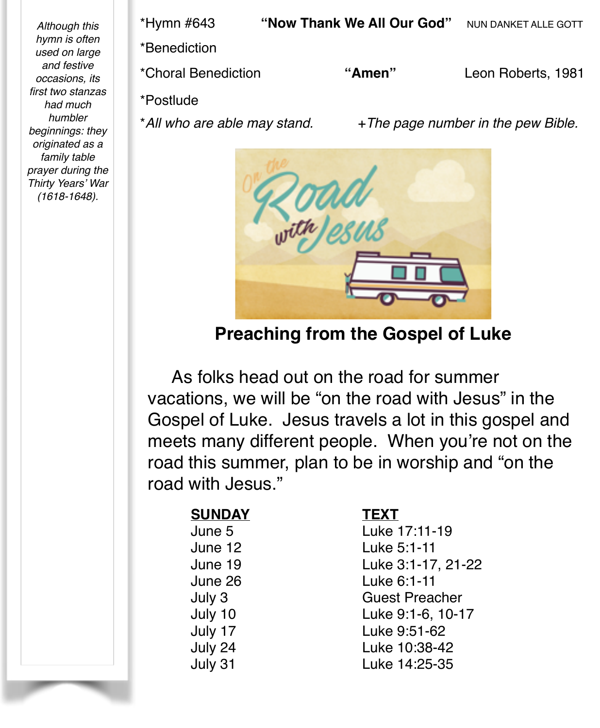*Although this hymn is often used on large and festive occasions, its first two stanzas had much humbler beginnings: they originated as a family table prayer during the Thirty Years' War (1618-1648).*

\*Hymn #643 **"Now Thank We All Our God"** NUN DANKET ALLE GOTT \*Benediction !! ! ! ! ! \*Choral Benediction **"Amen"** Leon Roberts, 1981 \*Postlude \*<sup>*All who are able may stand.* +*The page number in the pew Bible.*</sup>



**Preaching from the Gospel of Luke**

 As folks head out on the road for summer vacations, we will be "on the road with Jesus" in the Gospel of Luke. Jesus travels a lot in this gospel and meets many different people. When you're not on the road this summer, plan to be in worship and "on the road with Jesus."

# **SUNDAY!! ! TEXT**

June 5! ! ! Luke 17:11-19 June 12 **... ... ...** I uke 5:1-11 June 19! ! ! Luke 3:1-17, 21-22 June 26! ! ! Luke 6:1-11 July 3 **Guest Preacher** July 10! ! ! Luke 9:1-6, 10-17 July 17! ! ! Luke 9:51-62 July 24! ! ! Luke 10:38-42 July 31! ! ! Luke 14:25-35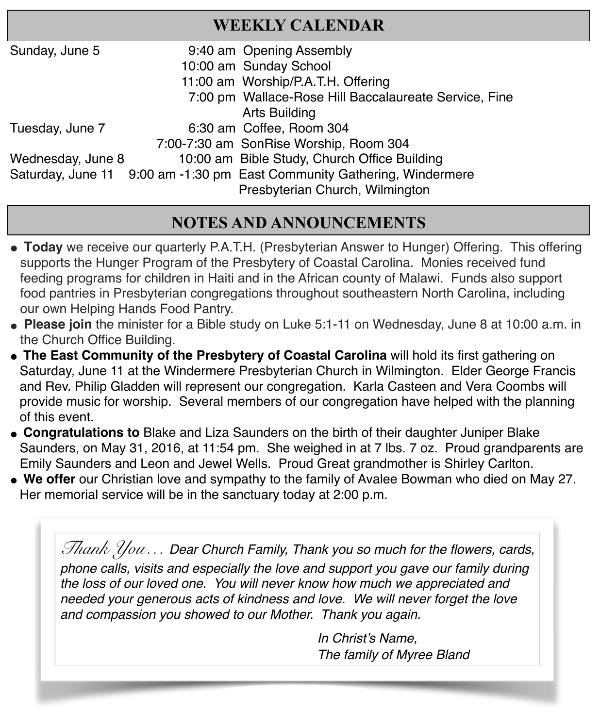# **WEEKLY CALENDAR**

| Sunday, June 5    | 9:40 am Opening Assembly                                                |
|-------------------|-------------------------------------------------------------------------|
|                   | 10:00 am Sunday School                                                  |
|                   | 11:00 am Worship/P.A.T.H. Offering                                      |
|                   | 7:00 pm Wallace-Rose Hill Baccalaureate Service, Fine                   |
|                   | <b>Arts Building</b>                                                    |
| Tuesday, June 7   | 6:30 am Coffee, Room 304                                                |
|                   | 7:00-7:30 am SonRise Worship, Room 304                                  |
| Wednesday, June 8 | 10:00 am Bible Study, Church Office Building                            |
|                   | Saturday, June 11 9:00 am -1:30 pm East Community Gathering, Windermere |
|                   | Presbyterian Church, Wilmington                                         |
|                   |                                                                         |

# **NOTES AND ANNOUNCEMENTS**

- **" Today** we receive our quarterly P.A.T.H. (Presbyterian Answer to Hunger) Offering. This offering supports the Hunger Program of the Presbytery of Coastal Carolina. Monies received fund feeding programs for children in Haiti and in the African county of Malawi. Funds also support food pantries in Presbyterian congregations throughout southeastern North Carolina, including our own Helping Hands Food Pantry.
- **Please join** the minister for a Bible study on Luke 5:1-11 on Wednesday, June 8 at 10:00 a.m. in the Church Office Building.
- **The East Community of the Presbytery of Coastal Carolina will hold its first gathering on** Saturday, June 11 at the Windermere Presbyterian Church in Wilmington. Elder George Francis and Rev. Philip Gladden will represent our congregation. Karla Casteen and Vera Coombs will provide music for worship. Several members of our congregation have helped with the planning of this event.
- " **Congratulations to** Blake and Liza Saunders on the birth of their daughter Juniper Blake Saunders, on May 31, 2016, at 11:54 pm. She weighed in at 7 lbs. 7 oz. Proud grandparents are Emily Saunders and Leon and Jewel Wells. Proud Great grandmother is Shirley Carlton.
- " **We offer** our Christian love and sympathy to the family of Avalee Bowman who died on May 27. Her memorial service will be in the sanctuary today at 2:00 p.m.

*Thank You… Dear Church Family, Thank you so much for the flowers, cards, phone calls, visits and especially the love and support you gave our family during the loss of our loved one. You will never know how much we appreciated and needed your generous acts of kindness and love. We will never forget the love and compassion you showed to our Mother. Thank you again.*

> In Christ's Name, **The family of Myree Bland**